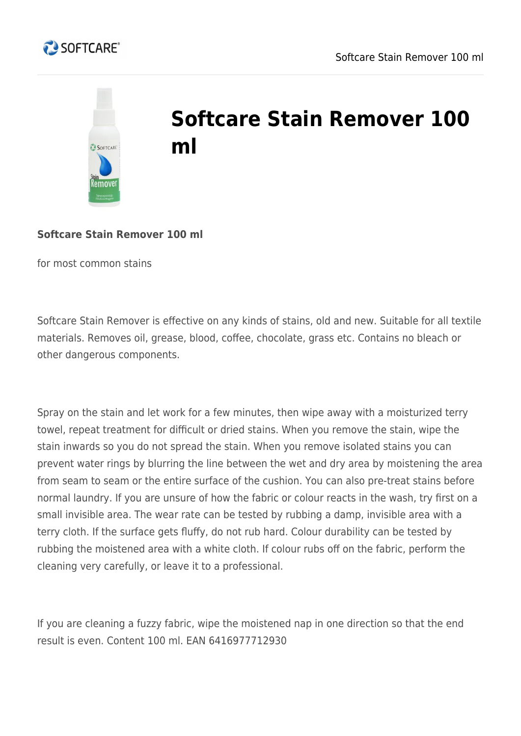



## **Softcare Stain Remover 100 ml**

## **Softcare Stain Remover 100 ml**

for most common stains

Softcare Stain Remover is effective on any kinds of stains, old and new. Suitable for all textile materials. Removes oil, grease, blood, coffee, chocolate, grass etc. Contains no bleach or other dangerous components.

Spray on the stain and let work for a few minutes, then wipe away with a moisturized terry towel, repeat treatment for difficult or dried stains. When you remove the stain, wipe the stain inwards so you do not spread the stain. When you remove isolated stains you can prevent water rings by blurring the line between the wet and dry area by moistening the area from seam to seam or the entire surface of the cushion. You can also pre-treat stains before normal laundry. If you are unsure of how the fabric or colour reacts in the wash, try first on a small invisible area. The wear rate can be tested by rubbing a damp, invisible area with a terry cloth. If the surface gets fluffy, do not rub hard. Colour durability can be tested by rubbing the moistened area with a white cloth. If colour rubs off on the fabric, perform the cleaning very carefully, or leave it to a professional.

If you are cleaning a fuzzy fabric, wipe the moistened nap in one direction so that the end result is even. Content 100 ml. EAN 6416977712930